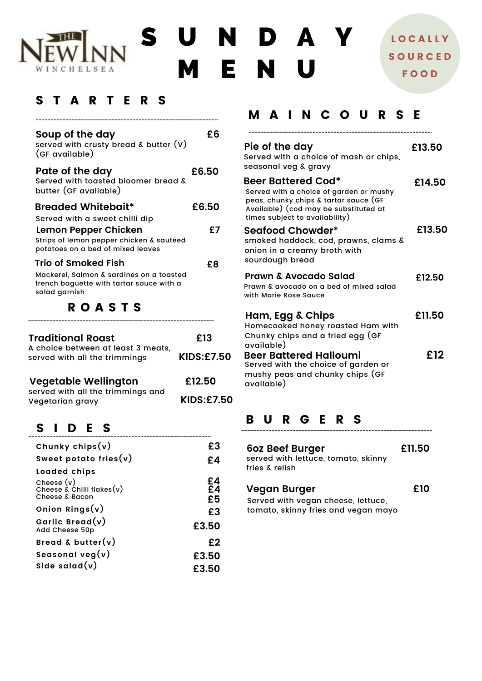

# S U N D A Y M E N U

## **LOCALLY** S O U R C E D F O O D

### S T A R T E R S

| Soup of the day<br>served with crusty bread & butter $(V)$<br>(GF available)                                                 | F6    |
|------------------------------------------------------------------------------------------------------------------------------|-------|
| Pate of the day<br>Served with toasted bloomer bread &<br>butter (GF available)                                              | £6.50 |
| <b>Breaded Whitebait*</b><br>Served with a sweet chilli dip                                                                  | £6.50 |
| <b>Lemon Pepper Chicken</b><br>Strips of lemon pepper chicken & sautéed<br>potatoes on a bed of mixed leaves                 | £7    |
| Trio of Smoked Fish<br>Mackerel, Salmon & sardines on a toasted<br>french baguette with tartar sauce with a<br>salad garnish | £8    |
| <b>ROASTS</b>                                                                                                                |       |

| <b>Traditional Roast</b>                                            | £13               |  |
|---------------------------------------------------------------------|-------------------|--|
| A choice between at least 3 meats,<br>served with all the trimmings | <b>KIDS:£7.50</b> |  |
| <b>Vegetable Wellington</b><br>served with all the trimmings and    | £12.50            |  |
| Vegetarian gravy                                                    | <b>KIDS:£7.50</b> |  |

# S I D E S

| £3       |
|----------|
| £4       |
|          |
| £4<br>£4 |
| £5       |
| £3       |
| £3.50    |
| £2       |
| £3.50    |
| £3.50    |
|          |

#### M A I N C O U R S E

| Pie of the day<br>Served with a choice of mash or chips,<br>seasonal veg & gravy                                                                                                         | £13.50 |
|------------------------------------------------------------------------------------------------------------------------------------------------------------------------------------------|--------|
| <b>Beer Battered Cod*</b><br>Served with a choice of garden or mushy<br>peas, chunky chips & tartar sauce (GF<br>Available) (cod may be substituted at<br>times subject to availability) | £14.50 |
| Seafood Chowder*<br>smoked haddock, cod, prawns, clams &<br>onion in a creamy broth with<br>sourdough bread                                                                              | £13.50 |
| <b>Prawn &amp; Avocado Salad</b><br>Prawn & avocado on a bed of mixed salad<br>with Marie Rose Sauce                                                                                     | £12.50 |
| Ham, Egg & Chips<br>Homecooked honey roasted Ham with<br>Chunky chips and a fried egg (GF                                                                                                | £11.50 |
| available)<br><b>Beer Battered Halloumi</b><br>Served with the choice of garden or<br>mushy peas and chunky chips (GF<br>available)                                                      | £12    |

# B U R G E R S

| <b>60z Beef Burger</b>              | £11.50 |
|-------------------------------------|--------|
| served with lettuce, tomato, skinny |        |
| fries & relish                      |        |
|                                     |        |

#### **Vegan Burger £10**

Served with vegan cheese, lettuce, tomato, skinny fries and vegan mayo